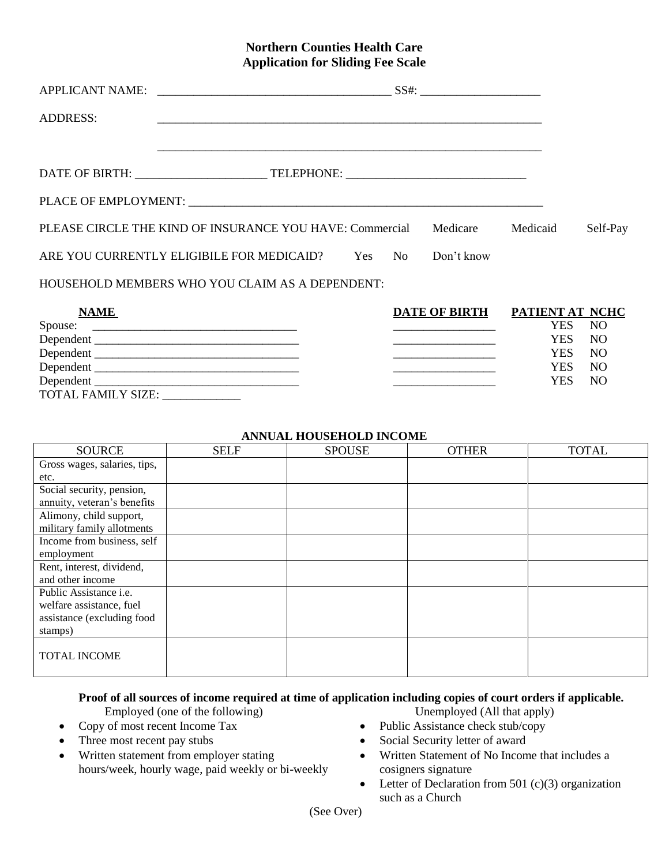## **Northern Counties Health Care Application for Sliding Fee Scale**

| ADDRESS: |                                                                 |  |            |          |          |
|----------|-----------------------------------------------------------------|--|------------|----------|----------|
|          | <u> 1989 - Jan James Barnett, amerikan berlindar (h. 1988).</u> |  |            |          |          |
|          |                                                                 |  |            |          |          |
|          |                                                                 |  |            |          |          |
|          | PLEASE CIRCLE THE KIND OF INSURANCE YOU HAVE: Commercial        |  | Medicare   | Medicaid | Self-Pay |
|          | ARE YOU CURRENTLY ELIGIBILE FOR MEDICAID? Yes No                |  | Don't know |          |          |
|          | HOUSEHOLD MEMBERS WHO YOU CLAIM AS A DEPENDENT:                 |  |            |          |          |

| ___ | __ |  | _____ |  |  |
|-----|----|--|-------|--|--|
|     |    |  |       |  |  |
|     |    |  |       |  |  |
|     |    |  |       |  |  |
|     |    |  |       |  |  |
|     |    |  |       |  |  |
|     |    |  |       |  |  |
|     |    |  |       |  |  |
|     |    |  |       |  |  |
|     |    |  |       |  |  |
|     |    |  |       |  |  |
|     |    |  |       |  |  |
|     |    |  |       |  |  |
|     |    |  |       |  |  |

| <b>NAME</b>                                                          | <b>DATE OF BIRTH</b> | PATIENT AT NCHC |                 |
|----------------------------------------------------------------------|----------------------|-----------------|-----------------|
|                                                                      |                      | YES .           | N <sub>O</sub>  |
|                                                                      |                      | YES             | NO              |
| Dependent                                                            |                      | YES .           | NO <sub>1</sub> |
| Dependent                                                            |                      | YES.            | N <sub>O</sub>  |
|                                                                      |                      | YES -           | N <sub>O</sub>  |
| <b>TOTAL FAMILY SIZE:</b><br><u> 1990 - Johann Barbara, martin a</u> |                      |                 |                 |

## **ANNUAL HOUSEHOLD INCOME**

| <b>SOURCE</b>                 | <b>SELF</b> | <b>SPOUSE</b> | <b>OTHER</b> | <b>TOTAL</b> |
|-------------------------------|-------------|---------------|--------------|--------------|
| Gross wages, salaries, tips,  |             |               |              |              |
| etc.                          |             |               |              |              |
| Social security, pension,     |             |               |              |              |
| annuity, veteran's benefits   |             |               |              |              |
| Alimony, child support,       |             |               |              |              |
| military family allotments    |             |               |              |              |
| Income from business, self    |             |               |              |              |
| employment                    |             |               |              |              |
| Rent, interest, dividend,     |             |               |              |              |
| and other income              |             |               |              |              |
| Public Assistance <i>i.e.</i> |             |               |              |              |
| welfare assistance, fuel      |             |               |              |              |
| assistance (excluding food    |             |               |              |              |
| stamps)                       |             |               |              |              |
| <b>TOTAL INCOME</b>           |             |               |              |              |

## **Proof of all sources of income required at time of application including copies of court orders if applicable.**

Employed (one of the following) Unemployed (All that apply)

- 
- 
- Written statement from employer stating hours/week, hourly wage, paid weekly or bi-weekly

- Copy of most recent Income Tax Public Assistance check stub/copy
	- Three most recent pay stubs <br>
	Social Security letter of award
		- Written Statement of No Income that includes a cosigners signature
		- Letter of Declaration from 501  $(c)(3)$  organization such as a Church

(See Over)